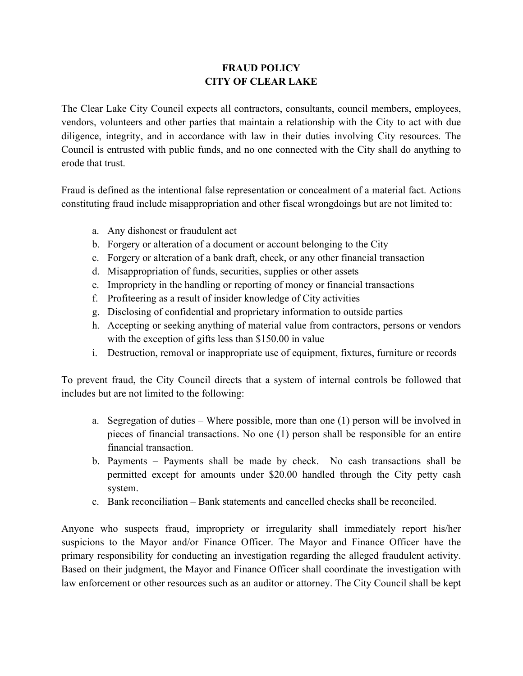## **FRAUD POLICY CITY OF CLEAR LAKE**

The Clear Lake City Council expects all contractors, consultants, council members, employees, vendors, volunteers and other parties that maintain a relationship with the City to act with due diligence, integrity, and in accordance with law in their duties involving City resources. The Council is entrusted with public funds, and no one connected with the City shall do anything to erode that trust.

Fraud is defined as the intentional false representation or concealment of a material fact. Actions constituting fraud include misappropriation and other fiscal wrongdoings but are not limited to:

- a. Any dishonest or fraudulent act
- b. Forgery or alteration of a document or account belonging to the City
- c. Forgery or alteration of a bank draft, check, or any other financial transaction
- d. Misappropriation of funds, securities, supplies or other assets
- e. Impropriety in the handling or reporting of money or financial transactions
- f. Profiteering as a result of insider knowledge of City activities
- g. Disclosing of confidential and proprietary information to outside parties
- h. Accepting or seeking anything of material value from contractors, persons or vendors with the exception of gifts less than \$150.00 in value
- i. Destruction, removal or inappropriate use of equipment, fixtures, furniture or records

To prevent fraud, the City Council directs that a system of internal controls be followed that includes but are not limited to the following:

- a. Segregation of duties Where possible, more than one (1) person will be involved in pieces of financial transactions. No one (1) person shall be responsible for an entire financial transaction.
- b. Payments Payments shall be made by check. No cash transactions shall be permitted except for amounts under \$20.00 handled through the City petty cash system.
- c. Bank reconciliation Bank statements and cancelled checks shall be reconciled.

Anyone who suspects fraud, impropriety or irregularity shall immediately report his/her suspicions to the Mayor and/or Finance Officer. The Mayor and Finance Officer have the primary responsibility for conducting an investigation regarding the alleged fraudulent activity. Based on their judgment, the Mayor and Finance Officer shall coordinate the investigation with law enforcement or other resources such as an auditor or attorney. The City Council shall be kept